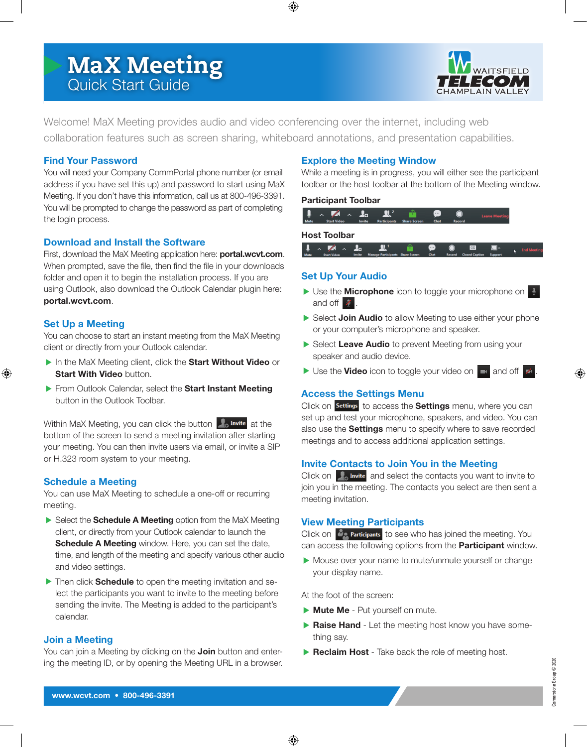# MaX Meeting Quick Start Guide



Welcome! MaX Meeting provides audio and video conferencing over the internet, including web collaboration features such as screen sharing, whiteboard annotations, and presentation capabilities.

# **Find Your Password**

You will need your Company CommPortal phone number (or email address if you have set this up) and password to start using MaX Meeting. If you don't have this information, call us at 800-496-3391. You will be prompted to change the password as part of completing the login process.

# **Download and Install the Software**

First, download the MaX Meeting application here: **portal.wcvt.com**. When prompted, save the file, then find the file in your downloads folder and open it to begin the installation process. If you are using Outlook, also download the Outlook Calendar plugin here: **portal.wcvt.com**.

# **Set Up a Meeting**

You can choose to start an instant meeting from the MaX Meeting client or directly from your Outlook calendar.

- In the MaX Meeting client, click the **Start Without Video** or **Start With Video button.**
- From Outlook Calendar, select the **Start Instant Meeting**  button in the Outlook Toolbar.

Within MaX Meeting, you can click the button  $\Box$  Invite at the bottom of the screen to send a meeting invitation after starting your meeting. You can then invite users via email, or invite a SIP or H.323 room system to your meeting.

# **Schedule a Meeting**

You can use MaX Meeting to schedule a one-off or recurring meeting.

- Select the **Schedule A Meeting** option from the MaX Meeting client, or directly from your Outlook calendar to launch the **Schedule A Meeting** window. Here, you can set the date, time, and length of the meeting and specify various other audio and video settings.
- **Then click Schedule** to open the meeting invitation and select the participants you want to invite to the meeting before sending the invite. The Meeting is added to the participant's calendar.

# **Join a Meeting**

You can join a Meeting by clicking on the **Join** button and entering the meeting ID, or by opening the Meeting URL in a browser.

# **Explore the Meeting Window**

While a meeting is in progress, you will either see the participant toolbar or the host toolbar at the bottom of the Meeting window.

#### **Participant Toolbar**



#### **Host Toolbar**



# **Set Up Your Audio**

- ▶ Use the **Microphone** icon to toggle your microphone on and off  $\blacktriangleright$
- Select **Join Audio** to allow Meeting to use either your phone or your computer's microphone and speaker.
- Select Leave Audio to prevent Meeting from using your speaker and audio device.
- $\triangleright$  Use the **Video** icon to toggle your video on  $\triangleright$  and off  $\triangleright$ .

# **Access the Settings Menu**

Click on **Settings** to access the **Settings** menu, where you can set up and test your microphone, speakers, and video. You can also use the **Settings** menu to specify where to save recorded meetings and to access additional application settings.

# **Invite Contacts to Join You in the Meeting**

Click on  $\Box$  Invite and select the contacts you want to invite to join you in the meeting. The contacts you select are then sent a meeting invitation.

#### **View Meeting Participants**

Click on  $\frac{d^2\mathbf{p}}{d^2\mathbf{p}}$  Participants to see who has joined the meeting. You can access the following options from the **Participant** window.

Mouse over your name to mute/unmute yourself or change your display name.

At the foot of the screen:

- **Mute Me** Put yourself on mute.
- **Raise Hand** Let the meeting host know you have something say.
- **Reclaim Host** Take back the role of meeting host.